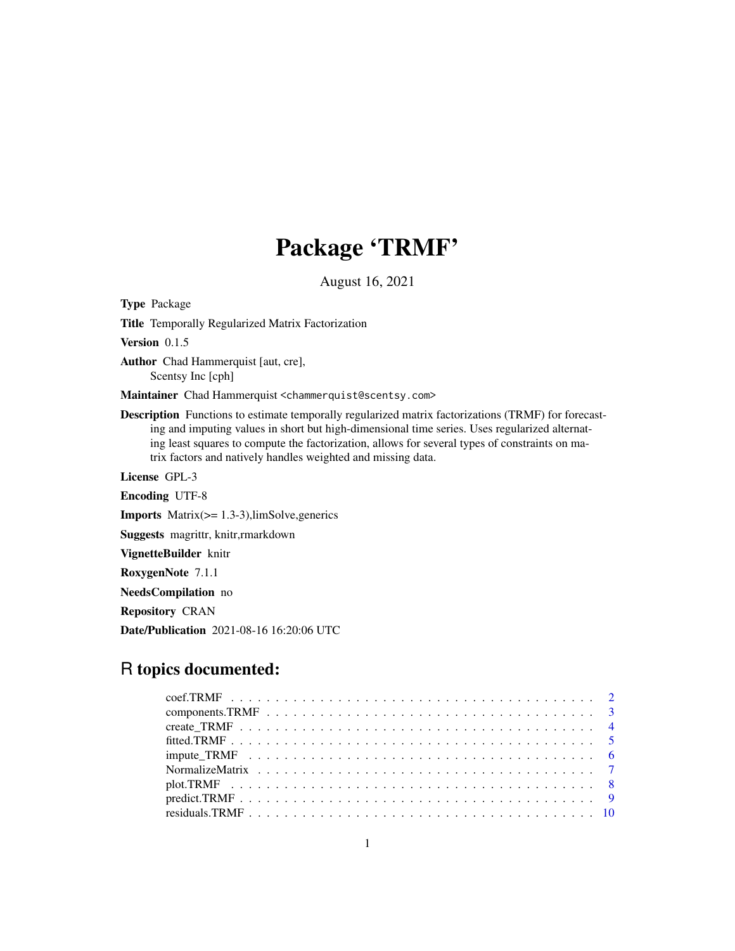## Package 'TRMF'

August 16, 2021

<span id="page-0-0"></span>Type Package Title Temporally Regularized Matrix Factorization Version 0.1.5 Author Chad Hammerquist [aut, cre], Scentsy Inc [cph] Maintainer Chad Hammerquist <chammerquist@scentsy.com> Description Functions to estimate temporally regularized matrix factorizations (TRMF) for forecasting and imputing values in short but high-dimensional time series. Uses regularized alternating least squares to compute the factorization, allows for several types of constraints on matrix factors and natively handles weighted and missing data. License GPL-3 Encoding UTF-8 Imports Matrix(>= 1.3-3),limSolve,generics Suggests magrittr, knitr,rmarkdown VignetteBuilder knitr RoxygenNote 7.1.1

NeedsCompilation no

Repository CRAN

Date/Publication 2021-08-16 16:20:06 UTC

## R topics documented: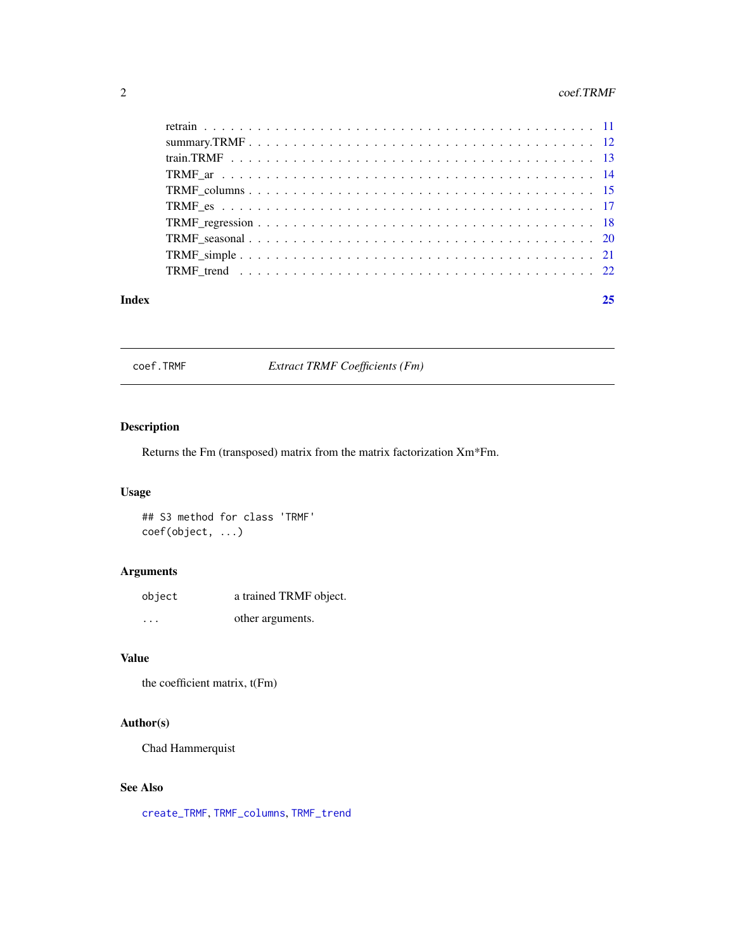#### <span id="page-1-0"></span>2 coef.TRMF

#### **Index** [25](#page-24-0)

coef.TRMF *Extract TRMF Coefficients (Fm)*

## Description

Returns the Fm (transposed) matrix from the matrix factorization Xm\*Fm.

## Usage

## S3 method for class 'TRMF' coef(object, ...)

## Arguments

| object  | a trained TRMF object. |
|---------|------------------------|
| $\cdot$ | other arguments.       |

## Value

the coefficient matrix, t(Fm)

## Author(s)

Chad Hammerquist

## See Also

[create\\_TRMF](#page-3-1), [TRMF\\_columns](#page-14-1), [TRMF\\_trend](#page-21-1)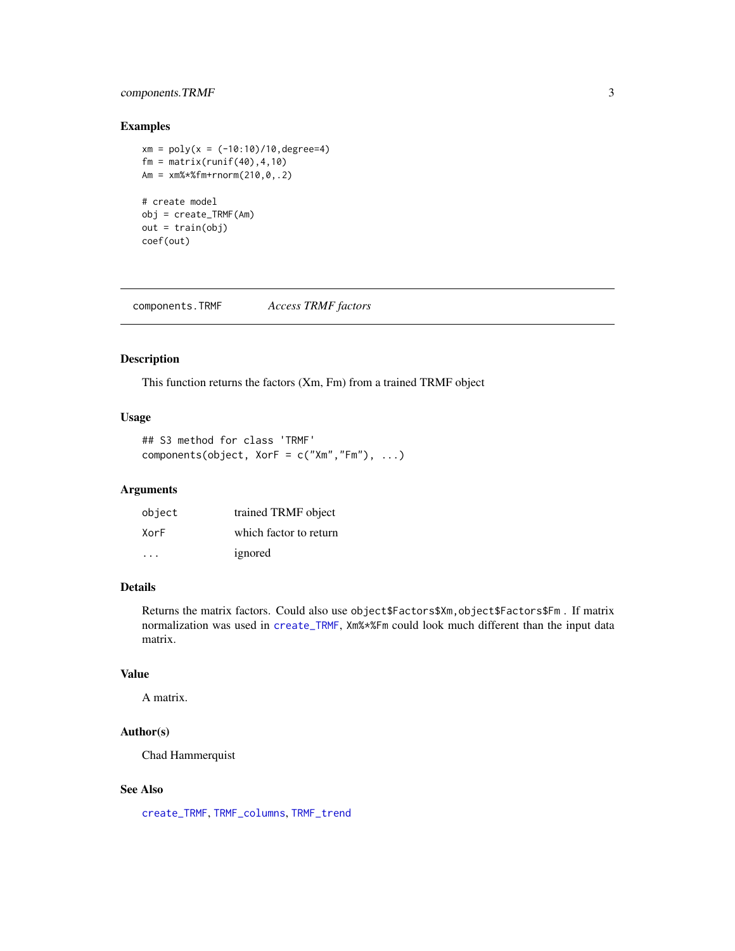## <span id="page-2-0"></span>components.TRMF 3

## Examples

 $xm = poly(x = (-10:10)/10, degree=4)$  $fm = matrix(runit(40), 4, 10)$ Am = xm%\*%fm+rnorm(210,0,.2) # create model obj = create\_TRMF(Am) out = train(obj) coef(out)

components.TRMF *Access TRMF factors*

## Description

This function returns the factors (Xm, Fm) from a trained TRMF object

## Usage

## S3 method for class 'TRMF' components(object, XorF = c("Xm","Fm"), ...)

## Arguments

| object | trained TRMF object    |
|--------|------------------------|
| XorF   | which factor to return |
| .      | ignored                |

## Details

Returns the matrix factors. Could also use object\$Factors\$Xm,object\$Factors\$Fm . If matrix normalization was used in [create\\_TRMF](#page-3-1), Xm%\*%Fm could look much different than the input data matrix.

## Value

A matrix.

## Author(s)

Chad Hammerquist

#### See Also

[create\\_TRMF](#page-3-1), [TRMF\\_columns](#page-14-1), [TRMF\\_trend](#page-21-1)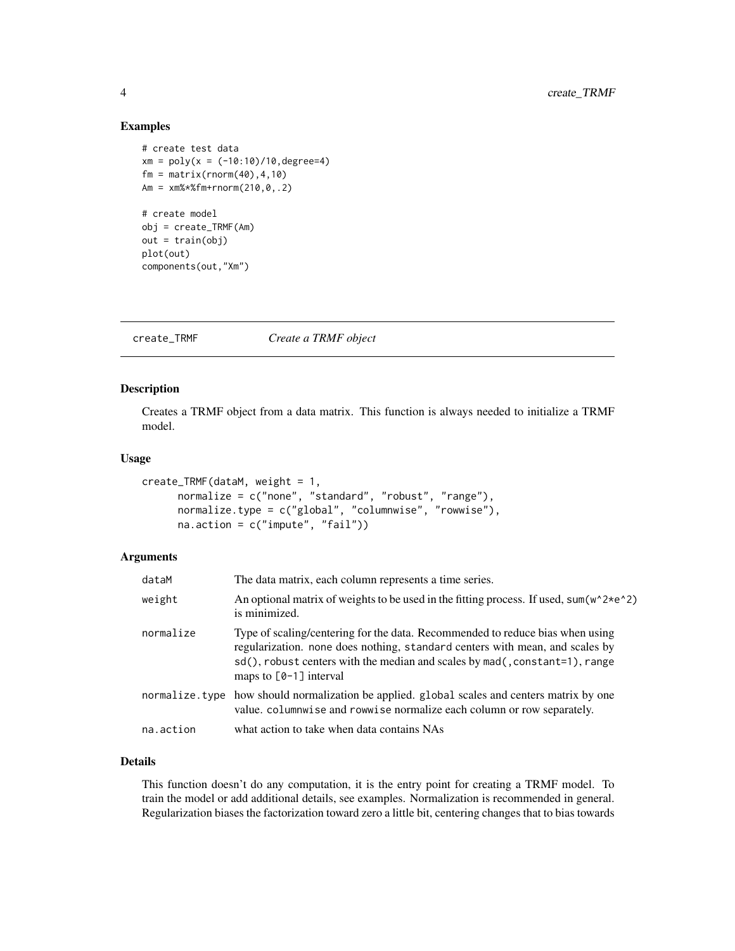#### Examples

```
# create test data
xm = poly(x = (-10:10)/10, \text{degree=4})fm = matrix(rnorm(40), 4, 10)Am = xm%*%fm+rnorm(210,0,.2)
# create model
obj = create_TRMF(Am)
out = train(obj)plot(out)
components(out,"Xm")
```
<span id="page-3-1"></span>create\_TRMF *Create a TRMF object*

## Description

Creates a TRMF object from a data matrix. This function is always needed to initialize a TRMF model.

#### Usage

```
create_TRMF(dataM, weight = 1,
     normalize = c("none", "standard", "robust", "range"),
     normalize.type = c("global", "columnwise", "rowwise"),
     na.action = c("impute", "fail"))
```
#### Arguments

| dataM     | The data matrix, each column represents a time series.                                                                                                                                                                                                                   |
|-----------|--------------------------------------------------------------------------------------------------------------------------------------------------------------------------------------------------------------------------------------------------------------------------|
| weight    | An optional matrix of weights to be used in the fitting process. If used, sum( $w^2 \times e^2$ )<br>is minimized.                                                                                                                                                       |
| normalize | Type of scaling/centering for the data. Recommended to reduce bias when using<br>regularization, none does nothing, standard centers with mean, and scales by<br>sd(), robust centers with the median and scales by mad(, constant=1), range<br>maps to $[0-1]$ interval |
|           | normalize type how should normalization be applied. global scales and centers matrix by one<br>value. columnwise and rowwise normalize each column or row separately.                                                                                                    |
| na.action | what action to take when data contains NAs                                                                                                                                                                                                                               |

## Details

This function doesn't do any computation, it is the entry point for creating a TRMF model. To train the model or add additional details, see examples. Normalization is recommended in general. Regularization biases the factorization toward zero a little bit, centering changes that to bias towards

<span id="page-3-0"></span>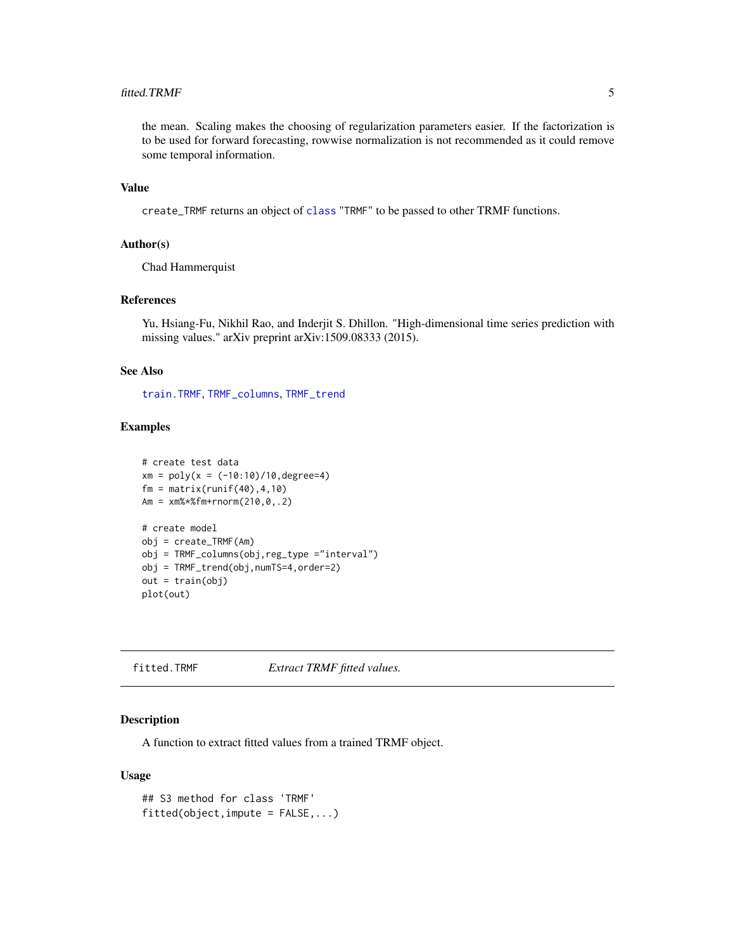#### <span id="page-4-0"></span>fitted.TRMF 5

the mean. Scaling makes the choosing of regularization parameters easier. If the factorization is to be used for forward forecasting, rowwise normalization is not recommended as it could remove some temporal information.

## Value

create\_TRMF returns an object of [class](#page-0-0) "TRMF" to be passed to other TRMF functions.

## Author(s)

Chad Hammerquist

#### References

Yu, Hsiang-Fu, Nikhil Rao, and Inderjit S. Dhillon. "High-dimensional time series prediction with missing values." arXiv preprint arXiv:1509.08333 (2015).

#### See Also

[train.TRMF](#page-12-1), [TRMF\\_columns](#page-14-1), [TRMF\\_trend](#page-21-1)

#### Examples

```
# create test data
xm = poly(x = (-10:10)/10, degree=4)fm = matrix(runif(40), 4, 10)Am = xm%*%fm+rnorm(210,0,.2)
# create model
obj = create_TRMF(Am)
obj = TRMF_columns(obj,reg_type ="interval")
obj = TRMF_trend(obj,numTS=4,order=2)
out = train(obj)
plot(out)
```
fitted.TRMF *Extract TRMF fitted values.*

### Description

A function to extract fitted values from a trained TRMF object.

#### Usage

```
## S3 method for class 'TRMF'
fitted(object, \text{impute} = FALSE, ...)
```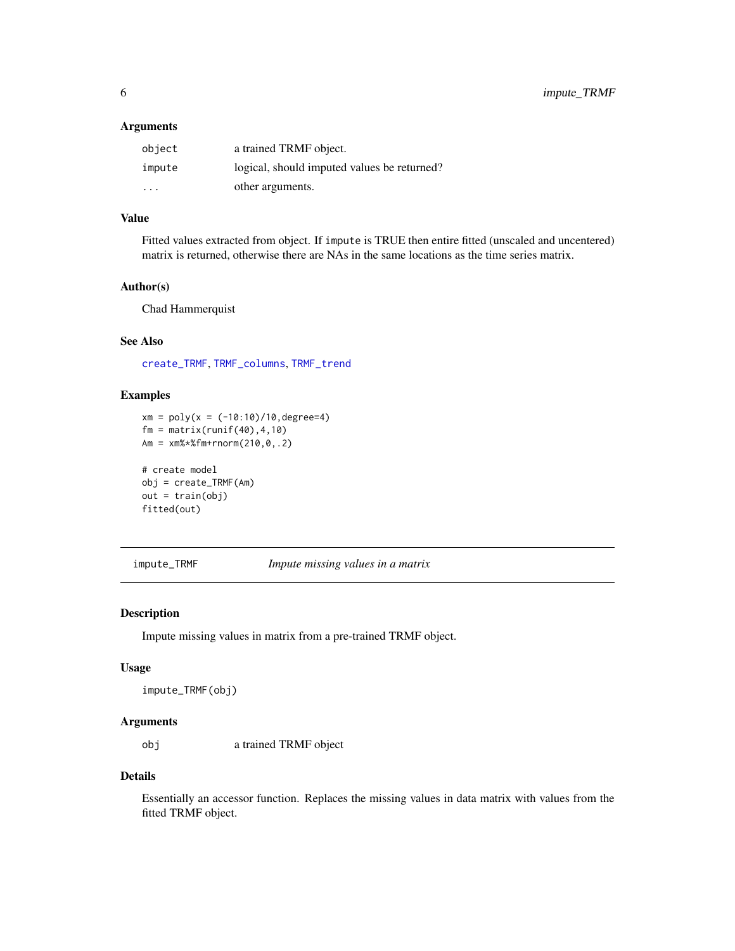#### <span id="page-5-0"></span>Arguments

| object | a trained TRMF object.                      |
|--------|---------------------------------------------|
| impute | logical, should imputed values be returned? |
| .      | other arguments.                            |

## Value

Fitted values extracted from object. If impute is TRUE then entire fitted (unscaled and uncentered) matrix is returned, otherwise there are NAs in the same locations as the time series matrix.

### Author(s)

Chad Hammerquist

## See Also

[create\\_TRMF](#page-3-1), [TRMF\\_columns](#page-14-1), [TRMF\\_trend](#page-21-1)

## Examples

```
xm = poly(x = (-10:10)/10, degree=4)fm = matrix(runit(40), 4, 10)Am = xm%*%fm+rnorm(210,0,.2)
# create model
obj = create_TRMF(Am)
```

```
out = train(obj)
fitted(out)
```
impute\_TRMF *Impute missing values in a matrix*

## Description

Impute missing values in matrix from a pre-trained TRMF object.

## Usage

```
impute_TRMF(obj)
```
#### Arguments

obj a trained TRMF object

#### Details

Essentially an accessor function. Replaces the missing values in data matrix with values from the fitted TRMF object.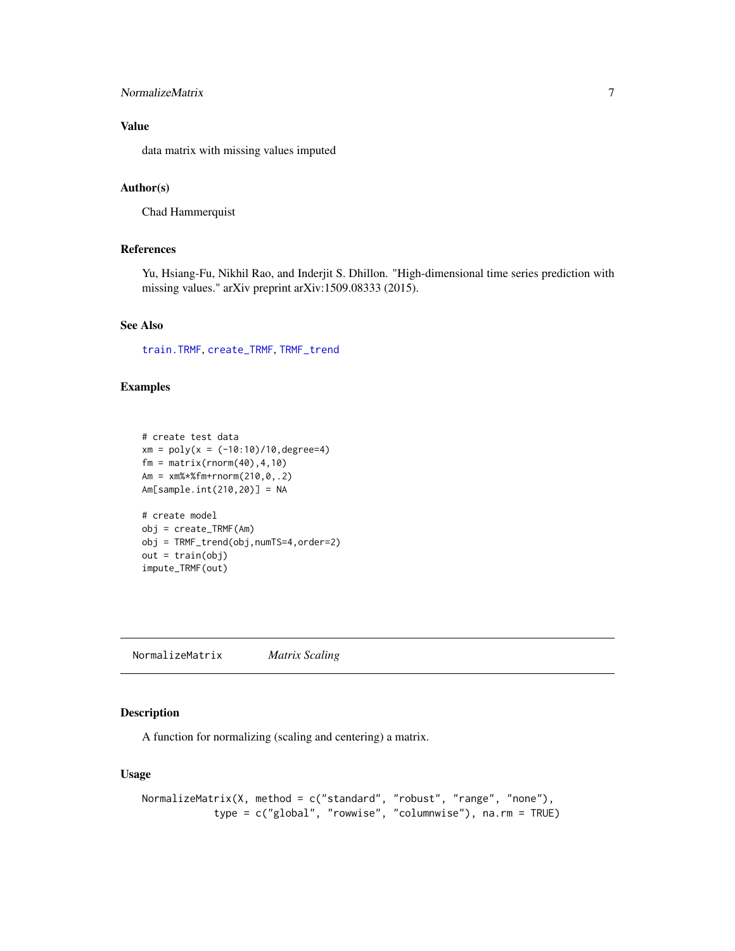## <span id="page-6-0"></span>NormalizeMatrix 7

## Value

data matrix with missing values imputed

## Author(s)

Chad Hammerquist

#### References

Yu, Hsiang-Fu, Nikhil Rao, and Inderjit S. Dhillon. "High-dimensional time series prediction with missing values." arXiv preprint arXiv:1509.08333 (2015).

## See Also

[train.TRMF](#page-12-1), [create\\_TRMF](#page-3-1), [TRMF\\_trend](#page-21-1)

#### Examples

```
# create test data
xm = poly(x = (-10:10)/10, \text{degree=4})fm = matrix(rnorm(40), 4, 10)Am = xm%*%fm+rnorm(210,0,.2)
Am[sample.int(210,20)] = NA
# create model
obj = create_TRMF(Am)
obj = TRMF_trend(obj,numTS=4,order=2)
out = train(obj)impute_TRMF(out)
```
NormalizeMatrix *Matrix Scaling*

## Description

A function for normalizing (scaling and centering) a matrix.

#### Usage

```
NormalizeMatrix(X, method = c("standard", "robust", "range", "none"),
            type = c("global", "rowwise", "columnwise"), na.rm = TRUE)
```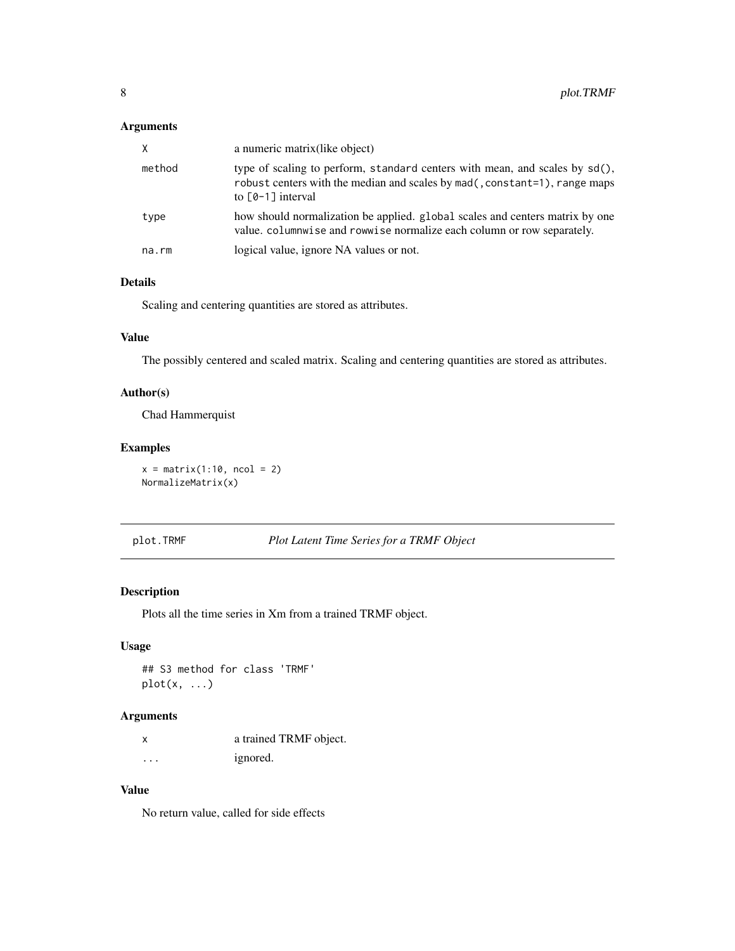## <span id="page-7-0"></span>Arguments

| X.          | a numeric matrix (like object)                                                                                                                                                   |
|-------------|----------------------------------------------------------------------------------------------------------------------------------------------------------------------------------|
| method      | type of scaling to perform, standard centers with mean, and scales by sd(),<br>robust centers with the median and scales by mad(, constant=1), range maps<br>to $[0-1]$ interval |
| type        | how should normalization be applied. global scales and centers matrix by one<br>value. columnwise and rowwise normalize each column or row separately.                           |
| $na$ . $rm$ | logical value, ignore NA values or not.                                                                                                                                          |

## Details

Scaling and centering quantities are stored as attributes.

## Value

The possibly centered and scaled matrix. Scaling and centering quantities are stored as attributes.

## Author(s)

Chad Hammerquist

#### Examples

 $x = matrix(1:10, ncol = 2)$ NormalizeMatrix(x)

plot.TRMF *Plot Latent Time Series for a TRMF Object*

## Description

Plots all the time series in Xm from a trained TRMF object.

## Usage

## S3 method for class 'TRMF'  $plot(x, \ldots)$ 

#### Arguments

x a trained TRMF object. ... ignored.

## Value

No return value, called for side effects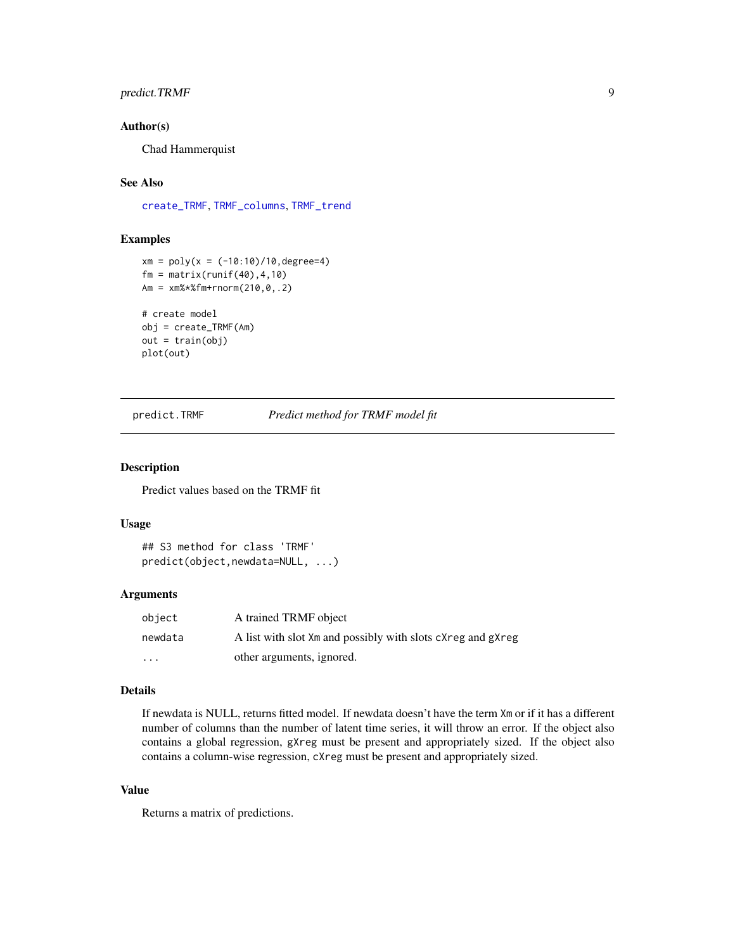## <span id="page-8-0"></span>predict.TRMF 9

#### Author(s)

Chad Hammerquist

## See Also

[create\\_TRMF](#page-3-1), [TRMF\\_columns](#page-14-1), [TRMF\\_trend](#page-21-1)

## Examples

```
xm = poly(x = (-10:10)/10, degree=4)fm = matrix(runif(40), 4, 10)Am = xm%*%fm+rnorm(210,0,.2)
# create model
obj = create_TRMF(Am)
out = train(obj)
plot(out)
```
predict.TRMF *Predict method for TRMF model fit*

#### Description

Predict values based on the TRMF fit

#### Usage

```
## S3 method for class 'TRMF'
predict(object,newdata=NULL, ...)
```
## Arguments

| object  | A trained TRMF object                                       |
|---------|-------------------------------------------------------------|
| newdata | A list with slot Xm and possibly with slots cXreg and gXreg |
| $\cdot$ | other arguments, ignored.                                   |

#### Details

If newdata is NULL, returns fitted model. If newdata doesn't have the term Xm or if it has a different number of columns than the number of latent time series, it will throw an error. If the object also contains a global regression, gXreg must be present and appropriately sized. If the object also contains a column-wise regression, cXreg must be present and appropriately sized.

## Value

Returns a matrix of predictions.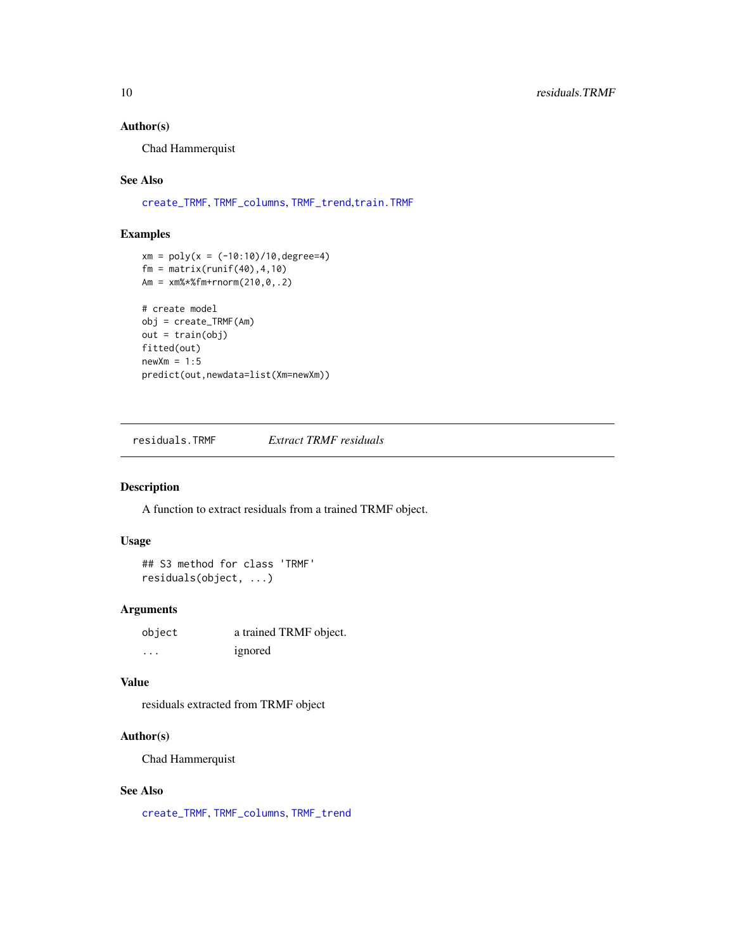## <span id="page-9-0"></span>Author(s)

Chad Hammerquist

#### See Also

[create\\_TRMF](#page-3-1), [TRMF\\_columns](#page-14-1), [TRMF\\_trend](#page-21-1),[train.TRMF](#page-12-1)

### Examples

```
xm = poly(x = (-10:10)/10, \text{degree=4})fm = matrix(runit(40), 4, 10)Am = xm%*%fm+rnorm(210,0,.2)
# create model
obj = create_TRMF(Am)
out = train(obj)
fitted(out)
newXm = 1:5predict(out,newdata=list(Xm=newXm))
```
residuals.TRMF *Extract TRMF residuals*

## Description

A function to extract residuals from a trained TRMF object.

## Usage

```
## S3 method for class 'TRMF'
residuals(object, ...)
```
#### Arguments

| object   | a trained TRMF object. |
|----------|------------------------|
| $\cdots$ | ignored                |

#### Value

residuals extracted from TRMF object

## Author(s)

Chad Hammerquist

## See Also

[create\\_TRMF](#page-3-1), [TRMF\\_columns](#page-14-1), [TRMF\\_trend](#page-21-1)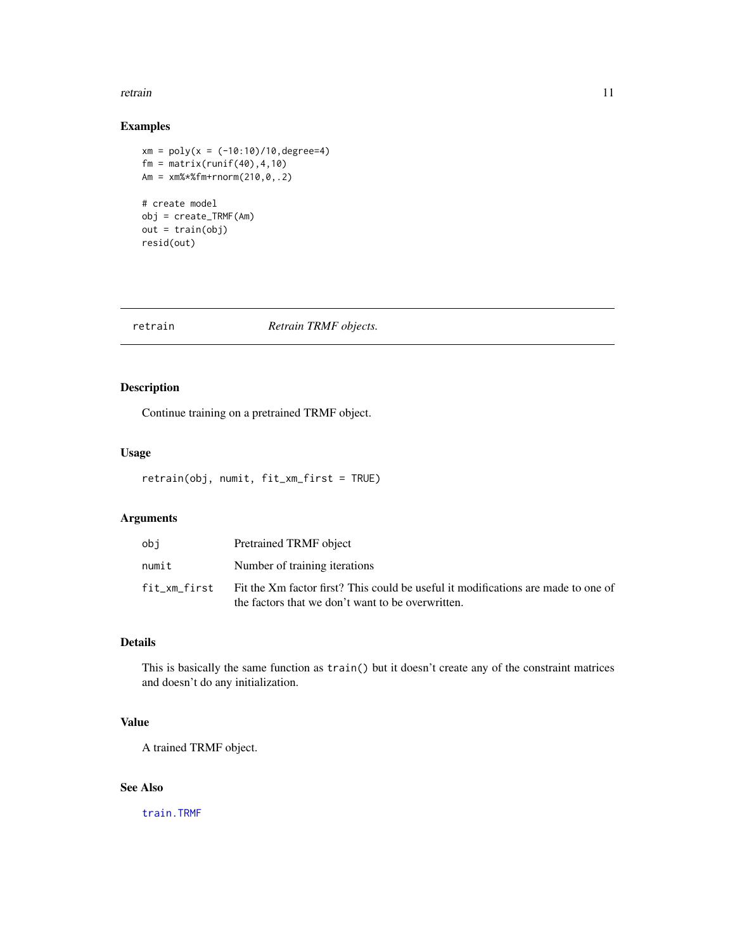#### <span id="page-10-0"></span>retrain and the contract of the contract of the contract of the contract of the contract of the contract of the contract of the contract of the contract of the contract of the contract of the contract of the contract of th

## Examples

```
xm = poly(x = (-10:10)/10, degree=4)fm = matrix(runif(40), 4, 10)Am = xm%*%fm+rnorm(210,0,.2)
# create model
obj = create_TRMF(Am)
out = train(obj)
resid(out)
```
retrain *Retrain TRMF objects.*

## Description

Continue training on a pretrained TRMF object.

#### Usage

```
retrain(obj, numit, fit_xm_first = TRUE)
```
## Arguments

| obi          | Pretrained TRMF object                                                                                                                 |
|--------------|----------------------------------------------------------------------------------------------------------------------------------------|
| numit        | Number of training iterations                                                                                                          |
| fit xm first | Fit the Xm factor first? This could be useful it modifications are made to one of<br>the factors that we don't want to be overwritten. |

## Details

This is basically the same function as train() but it doesn't create any of the constraint matrices and doesn't do any initialization.

## Value

A trained TRMF object.

## See Also

[train.TRMF](#page-12-1)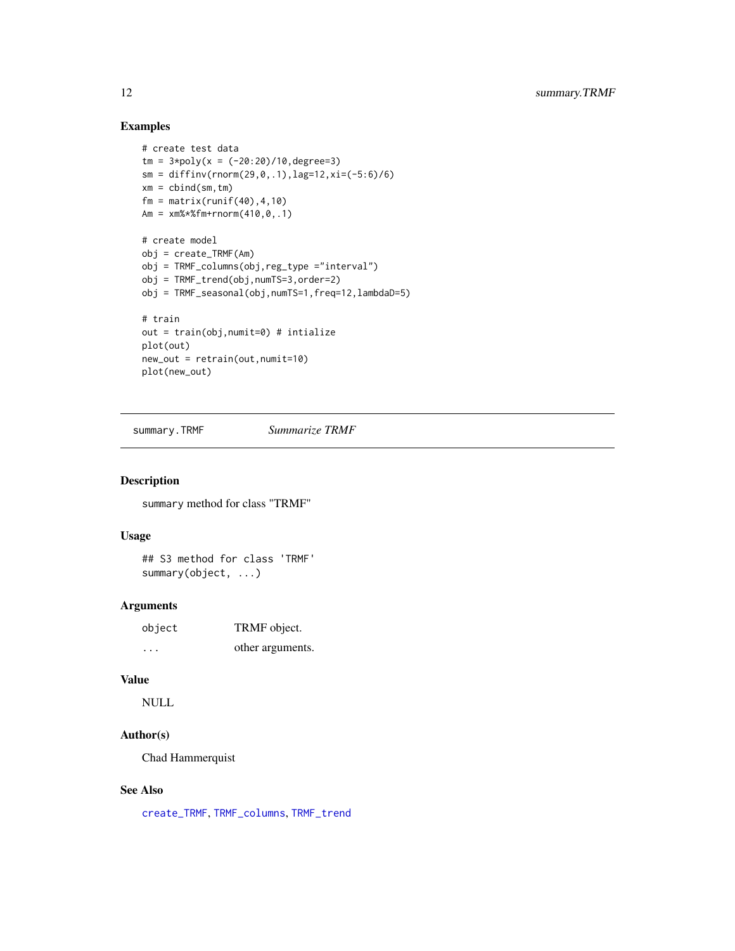## <span id="page-11-0"></span>Examples

```
# create test data
tm = 3 \times \text{poly}(x = (-20:20)/10, \text{degree}=3)sm = diffinv(rnorm(29, 0, .1), lag=12, xi=(-5:6)/6)xm = \text{cbind}(\text{sm}, \text{tm})fm = matrix(runit(40), 4, 10)Am = xm%*%fm+rnorm(410,0,.1)
# create model
obj = create_TRMF(Am)
obj = TRMF_columns(obj,reg_type ="interval")
obj = TRMF_trend(obj,numTS=3,order=2)
obj = TRMF_seasonal(obj,numTS=1,freq=12,lambdaD=5)
# train
out = train(obj,numit=0) # intialize
plot(out)
new_out = retrain(out,numit=10)
plot(new_out)
```
summary.TRMF *Summarize TRMF*

#### Description

summary method for class "TRMF"

#### Usage

## S3 method for class 'TRMF' summary(object, ...)

#### Arguments

| object | TRMF object.     |
|--------|------------------|
| .      | other arguments. |

## Value

NULL

## Author(s)

Chad Hammerquist

## See Also

[create\\_TRMF](#page-3-1), [TRMF\\_columns](#page-14-1), [TRMF\\_trend](#page-21-1)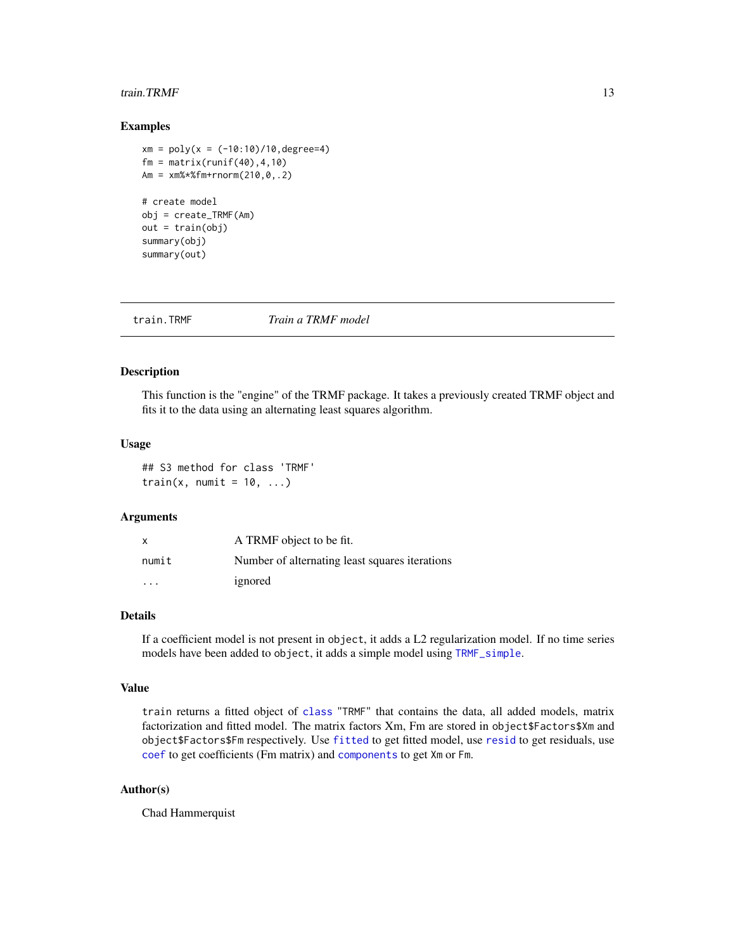#### <span id="page-12-0"></span>train. TRMF  $\qquad \qquad$  13

#### Examples

```
xm = poly(x = (-10:10)/10, \text{degree=4})fm = matrix(runif(40), 4, 10)Am = xm%*%fm+rnorm(210,0,.2)
# create model
obj = create_TRMF(Am)
out = train(obj)summary(obj)
summary(out)
```
<span id="page-12-1"></span>

train.TRMF *Train a TRMF model*

#### Description

This function is the "engine" of the TRMF package. It takes a previously created TRMF object and fits it to the data using an alternating least squares algorithm.

#### Usage

## S3 method for class 'TRMF' train(x, numit =  $10, ...$ )

#### Arguments

| x                       | A TRMF object to be fit.                       |
|-------------------------|------------------------------------------------|
| numit                   | Number of alternating least squares iterations |
| $\cdot$ $\cdot$ $\cdot$ | ignored                                        |

## Details

If a coefficient model is not present in object, it adds a L2 regularization model. If no time series models have been added to object, it adds a simple model using [TRMF\\_simple](#page-20-1).

#### Value

train returns a fitted object of [class](#page-0-0) "TRMF" that contains the data, all added models, matrix factorization and fitted model. The matrix factors Xm, Fm are stored in object\$Factors\$Xm and object\$Factors\$Fm respectively. Use [fitted](#page-0-0) to get fitted model, use [resid](#page-0-0) to get residuals, use [coef](#page-0-0) to get coefficients (Fm matrix) and [components](#page-0-0) to get Xm or Fm.

## Author(s)

Chad Hammerquist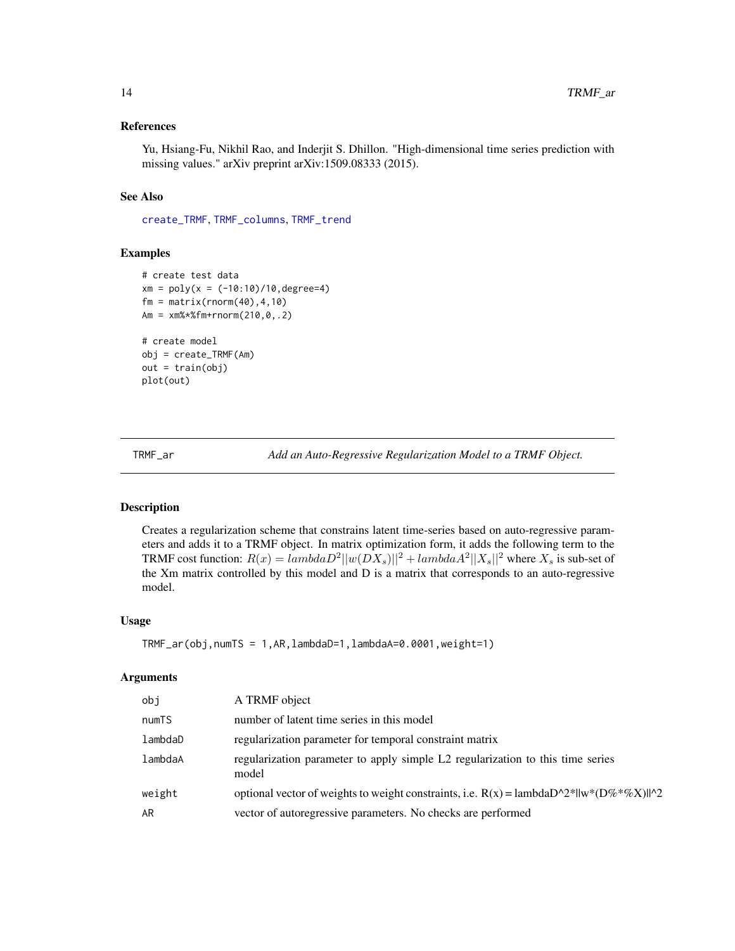#### <span id="page-13-0"></span>References

Yu, Hsiang-Fu, Nikhil Rao, and Inderjit S. Dhillon. "High-dimensional time series prediction with missing values." arXiv preprint arXiv:1509.08333 (2015).

## See Also

[create\\_TRMF](#page-3-1), [TRMF\\_columns](#page-14-1), [TRMF\\_trend](#page-21-1)

#### Examples

```
# create test data
xm = poly(x = (-10:10)/10, \text{degree=4})fm = matrix(rnorm(40), 4, 10)Am = xm%*%fm+rnorm(210,0,.2)
# create model
obj = create_TRMF(Am)
out = train(obj)plot(out)
```
TRMF\_ar *Add an Auto-Regressive Regularization Model to a TRMF Object.*

#### Description

Creates a regularization scheme that constrains latent time-series based on auto-regressive parameters and adds it to a TRMF object. In matrix optimization form, it adds the following term to the TRMF cost function:  $R(x) =$   $lambdaD^2||w(DX_s)||^2 +$   $lambdaA^2||X_s||^2$  where  $X_s$  is sub-set of the Xm matrix controlled by this model and D is a matrix that corresponds to an auto-regressive model.

#### Usage

```
TRMF_ar(obj,numTS = 1,AR,lambdaD=1,lambdaA=0.0001,weight=1)
```
#### Arguments

| obi     | A TRMF object                                                                             |
|---------|-------------------------------------------------------------------------------------------|
| numTS   | number of latent time series in this model                                                |
| lambdaD | regularization parameter for temporal constraint matrix                                   |
| lambdaA | regularization parameter to apply simple L2 regularization to this time series<br>model   |
| weight  | optional vector of weights to weight constraints, i.e. $R(x) =$ lambdaD^2*  w*(D%*%X)  ^2 |
| AR      | vector of autoregressive parameters. No checks are performed                              |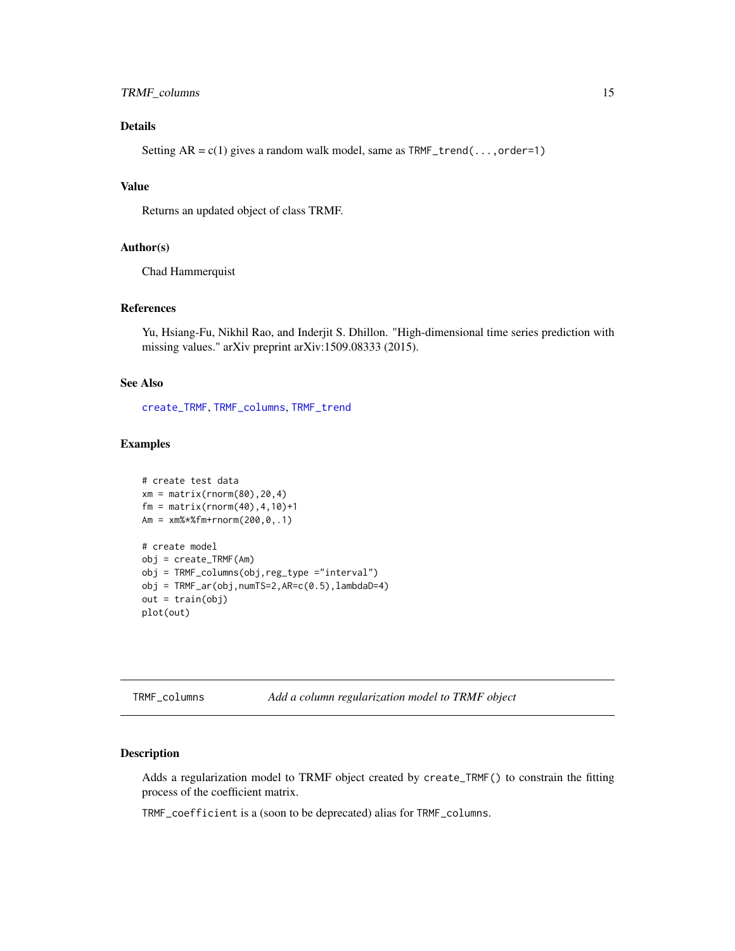## <span id="page-14-0"></span>TRMF\_columns 15

## Details

Setting  $AR = c(1)$  gives a random walk model, same as  $TRMF_trend(...,order=1)$ 

## Value

Returns an updated object of class TRMF.

#### Author(s)

Chad Hammerquist

#### **References**

Yu, Hsiang-Fu, Nikhil Rao, and Inderjit S. Dhillon. "High-dimensional time series prediction with missing values." arXiv preprint arXiv:1509.08333 (2015).

#### See Also

[create\\_TRMF](#page-3-1), [TRMF\\_columns](#page-14-1), [TRMF\\_trend](#page-21-1)

## Examples

```
# create test data
xm = matrix(rnorm(80), 20, 4)fm = matrix(rnorm(40), 4, 10)+1Am = xm%*%fm+rnorm(200,0,.1)
# create model
obj = create_TRMF(Am)
obj = TRMF_columns(obj,reg_type ="interval")
obj = TRMF_{ar}(obj, numTS=2, AR=c(0.5), lambdaD=4)out = train(obj)plot(out)
```
<span id="page-14-1"></span>TRMF\_columns *Add a column regularization model to TRMF object*

## Description

Adds a regularization model to TRMF object created by create\_TRMF() to constrain the fitting process of the coefficient matrix.

TRMF\_coefficient is a (soon to be deprecated) alias for TRMF\_columns.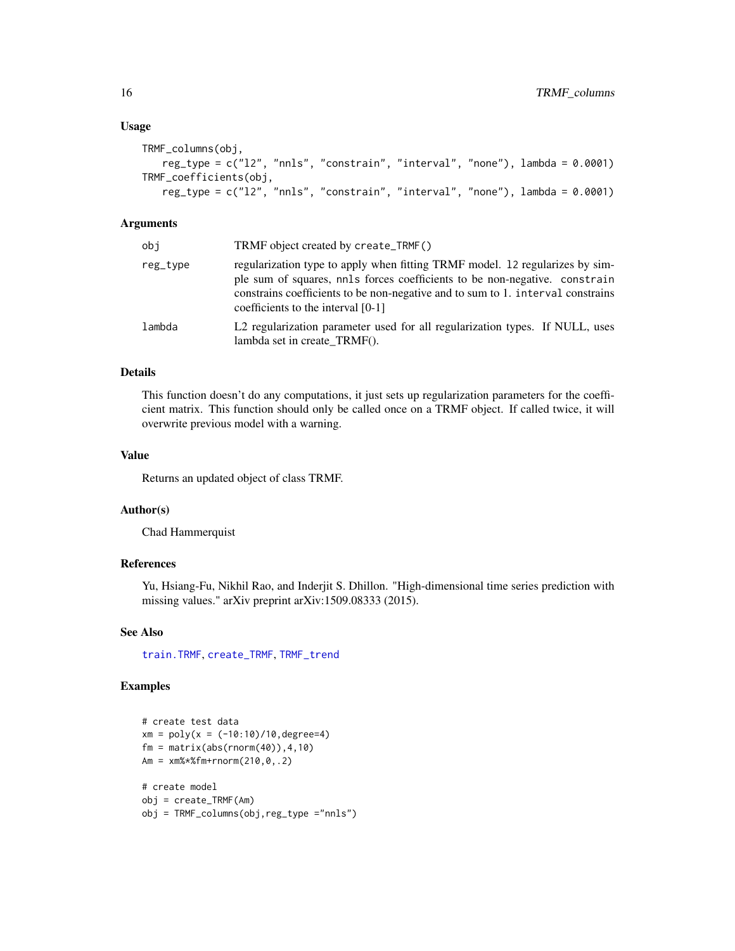#### Usage

```
TRMF_columns(obj,
   reg_type = c("l2", "nnls", "constrain", "interval", "none"), lambda = 0.0001)
TRMF_coefficients(obj,
   reg_type = c("l2", "nnls", "constrain", "interval", "none"), lambda = 0.0001)
```
#### Arguments

| obj      | TRMF object created by create_TRMF()                                                                                                                                                                                                                                                  |
|----------|---------------------------------------------------------------------------------------------------------------------------------------------------------------------------------------------------------------------------------------------------------------------------------------|
| reg_type | regularization type to apply when fitting TRMF model. 12 regularizes by sim-<br>ple sum of squares, nnls forces coefficients to be non-negative. constrain<br>constrains coefficients to be non-negative and to sum to 1. interval constrains<br>coefficients to the interval $[0-1]$ |
| lambda   | L2 regularization parameter used for all regularization types. If NULL, uses<br>lambda set in create TRMF().                                                                                                                                                                          |
|          |                                                                                                                                                                                                                                                                                       |

## Details

This function doesn't do any computations, it just sets up regularization parameters for the coefficient matrix. This function should only be called once on a TRMF object. If called twice, it will overwrite previous model with a warning.

## Value

Returns an updated object of class TRMF.

### Author(s)

Chad Hammerquist

#### References

Yu, Hsiang-Fu, Nikhil Rao, and Inderjit S. Dhillon. "High-dimensional time series prediction with missing values." arXiv preprint arXiv:1509.08333 (2015).

## See Also

[train.TRMF](#page-12-1), [create\\_TRMF](#page-3-1), [TRMF\\_trend](#page-21-1)

#### Examples

```
# create test data
xm = poly(x = (-10:10)/10, \text{degree=4})fm = matrix(abs(rnorm(40)), 4, 10)Am = xm%*%fm+rnorm(210,0,.2)
# create model
obj = create_TRMF(Am)
obj = TRMF_columns(obj,reg_type ="nnls")
```
<span id="page-15-0"></span>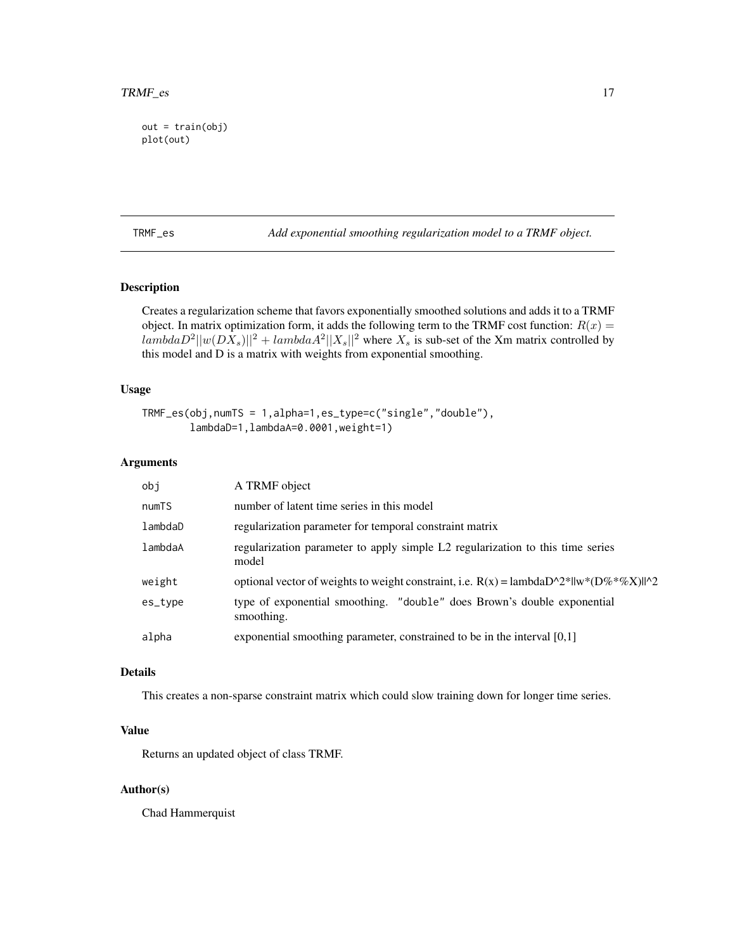```
out = train(obj)plot(out)
```
TRMF\_es *Add exponential smoothing regularization model to a TRMF object.*

## Description

Creates a regularization scheme that favors exponentially smoothed solutions and adds it to a TRMF object. In matrix optimization form, it adds the following term to the TRMF cost function:  $R(x)$  =  $lambdaD^2||w(DX_s)||^2 + lambdaA^2||X_s||^2$  where  $X_s$  is sub-set of the Xm matrix controlled by this model and D is a matrix with weights from exponential smoothing.

## Usage

```
TRMF_es(obj,numTS = 1,alpha=1,es_type=c("single","double"),
        lambdaD=1,lambdaA=0.0001,weight=1)
```
#### Arguments

| obj     | A TRMF object                                                                                     |
|---------|---------------------------------------------------------------------------------------------------|
| numTS   | number of latent time series in this model                                                        |
| lambdaD | regularization parameter for temporal constraint matrix                                           |
| lambdaA | regularization parameter to apply simple L2 regularization to this time series<br>model           |
| weight  | optional vector of weights to weight constraint, i.e. $R(x) =$ lambda $D^2^*  w^*(D\%^*\%X)  ^22$ |
| es_type | type of exponential smoothing. "double" does Brown's double exponential<br>smoothing.             |
| alpha   | exponential smoothing parameter, constrained to be in the interval [0,1]                          |
|         |                                                                                                   |

#### Details

This creates a non-sparse constraint matrix which could slow training down for longer time series.

#### Value

Returns an updated object of class TRMF.

#### Author(s)

Chad Hammerquist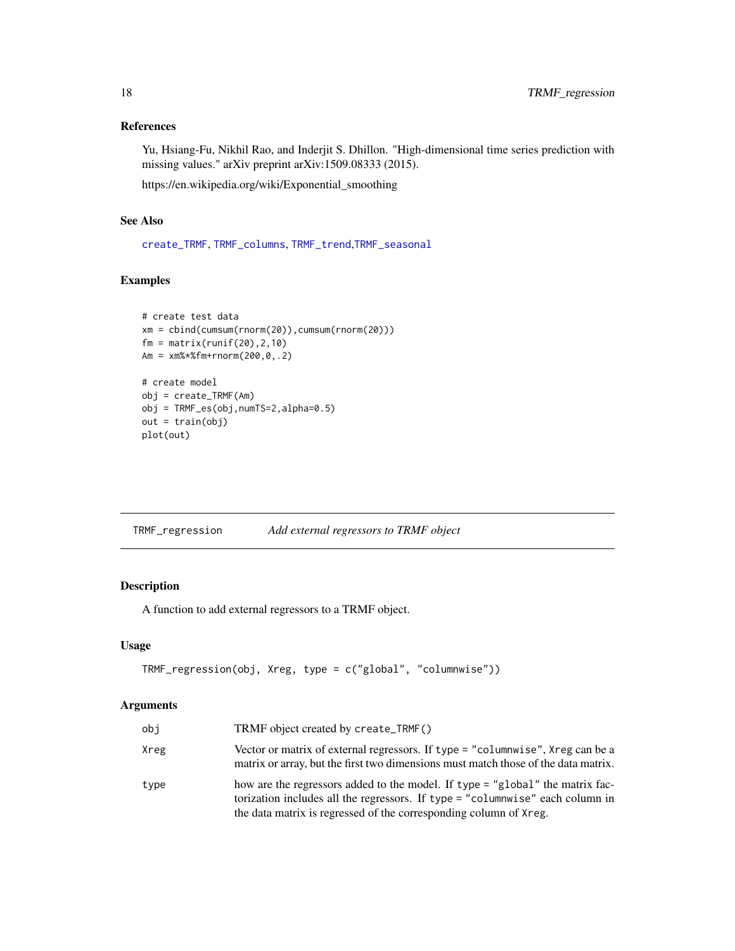## <span id="page-17-0"></span>References

Yu, Hsiang-Fu, Nikhil Rao, and Inderjit S. Dhillon. "High-dimensional time series prediction with missing values." arXiv preprint arXiv:1509.08333 (2015).

https://en.wikipedia.org/wiki/Exponential\_smoothing

## See Also

[create\\_TRMF](#page-3-1), [TRMF\\_columns](#page-14-1), [TRMF\\_trend](#page-21-1),[TRMF\\_seasonal](#page-19-1)

## Examples

```
# create test data
xm = cbind(cumsum(rnorm(20)),cumsum(rnorm(20)))
fm = matrix(runif(20), 2, 10)Am = xm%*%fm+rnorm(200,0,.2)
# create model
obj = create_TRMF(Am)
obj = TRMF_es(obj,numTS=2,alpha=0.5)
out = train(obj)
plot(out)
```
TRMF\_regression *Add external regressors to TRMF object*

#### Description

A function to add external regressors to a TRMF object.

## Usage

```
TRMF_regression(obj, Xreg, type = c("global", "columnwise"))
```
## Arguments

| obi  | TRMF object created by create_TRMF()                                                                                                                                                                                                |
|------|-------------------------------------------------------------------------------------------------------------------------------------------------------------------------------------------------------------------------------------|
| Xreg | Vector or matrix of external regressors. If type = "columnwise", Xreg can be a<br>matrix or array, but the first two dimensions must match those of the data matrix.                                                                |
| type | how are the regressors added to the model. If type = "global" the matrix fac-<br>torization includes all the regressors. If type = "columnwise" each column in<br>the data matrix is regressed of the corresponding column of Xreg. |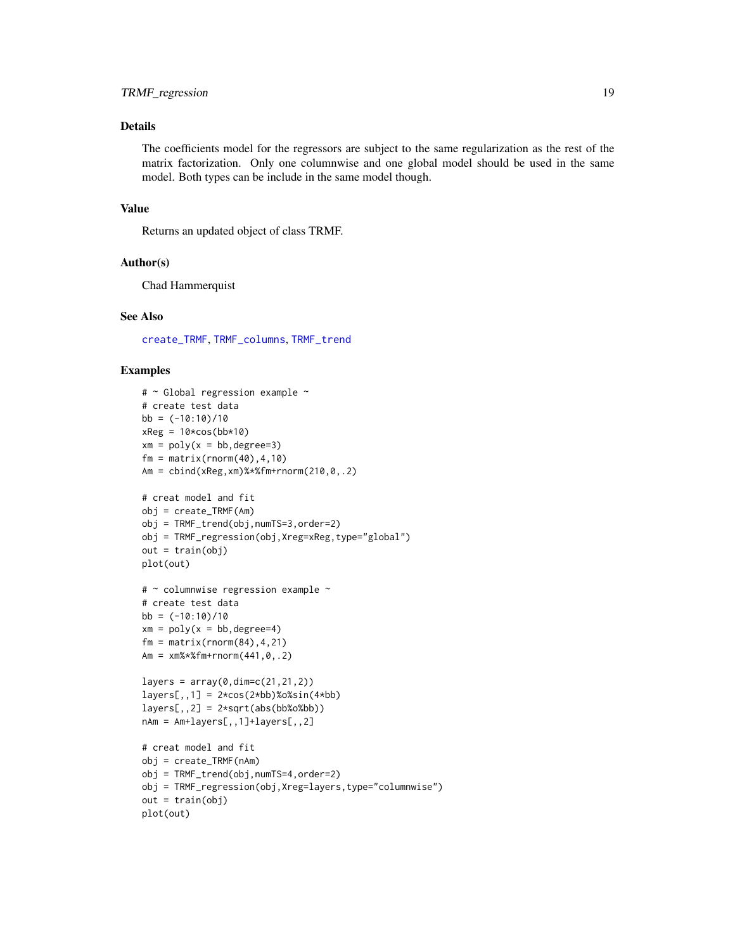## <span id="page-18-0"></span>Details

The coefficients model for the regressors are subject to the same regularization as the rest of the matrix factorization. Only one columnwise and one global model should be used in the same model. Both types can be include in the same model though.

#### Value

Returns an updated object of class TRMF.

#### Author(s)

Chad Hammerquist

#### See Also

[create\\_TRMF](#page-3-1), [TRMF\\_columns](#page-14-1), [TRMF\\_trend](#page-21-1)

#### Examples

```
# ~ Global regression example ~
# create test data
bb = (-10:10)/10xReg = 10 * cos(bb * 10)xm = poly(x = bb, degree=3)fm = matrix(rnorm(40), 4, 10)Am = cbind(xReg,xm)%*%fm+rnorm(210,0,.2)
# creat model and fit
obj = create_TRMF(Am)
obj = TRMF_trend(obj,numTS=3,order=2)
obj = TRMF_regression(obj,Xreg=xReg,type="global")
out = train(obj)
plot(out)
# ~ columnwise regression example ~
# create test data
bb = (-10:10)/10xm = poly(x = bb, degree=4)fm = matrix(rnorm(84), 4, 21)Am = x \frac{m}{x} \cdot x \cdot f(m + r \cdot n) \cdot (441, 0, .2)layers = array(0, dim=c(21, 21, 2))layers[,,1] = 2*cos(2*bb)%0%sin(4*bb)layers[,, 2] = 2*sqrt(abs(bb%o%bb))nAm = Am+layers[,,1]+layers[,,2]
# creat model and fit
obj = create_TRMF(nAm)
obj = TRMF_trend(obj,numTS=4,order=2)
obj = TRMF_regression(obj,Xreg=layers,type="columnwise")
out = train(obj)plot(out)
```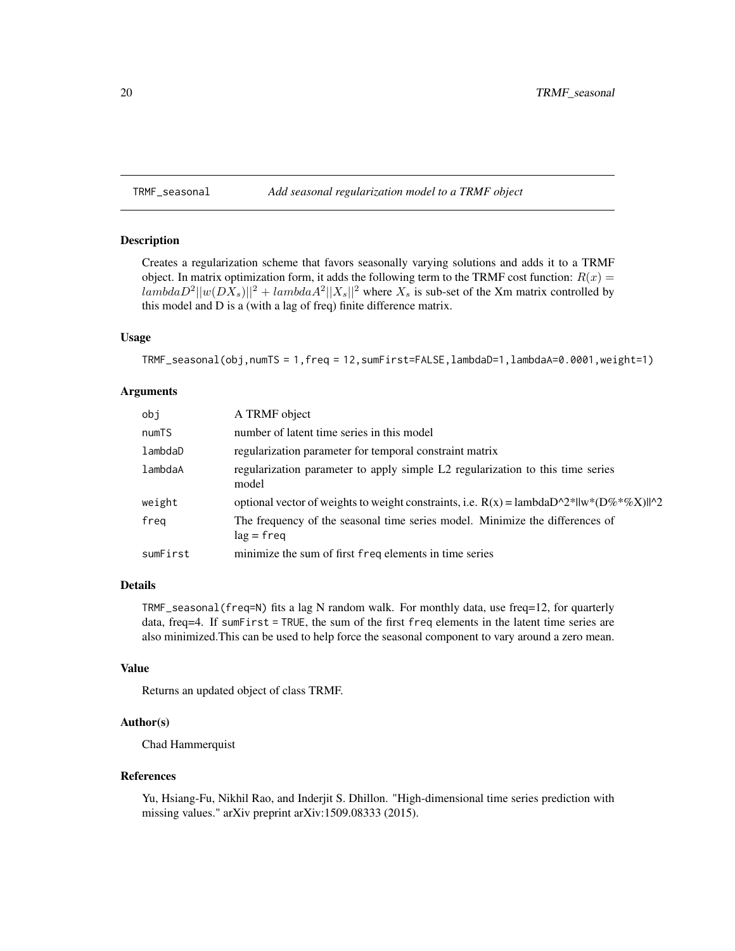<span id="page-19-1"></span><span id="page-19-0"></span>TRMF\_seasonal *Add seasonal regularization model to a TRMF object*

#### Description

Creates a regularization scheme that favors seasonally varying solutions and adds it to a TRMF object. In matrix optimization form, it adds the following term to the TRMF cost function:  $R(x) =$  $lambdaD^2||w(DX_s)||^2 + lambdaA^2||X_s||^2$  where  $X_s$  is sub-set of the Xm matrix controlled by this model and D is a (with a lag of freq) finite difference matrix.

## Usage

TRMF\_seasonal(obj,numTS = 1,freq = 12,sumFirst=FALSE,lambdaD=1,lambdaA=0.0001,weight=1)

#### Arguments

| obj      | A TRMF object                                                                                 |
|----------|-----------------------------------------------------------------------------------------------|
| numTS    | number of latent time series in this model                                                    |
| lambdaD  | regularization parameter for temporal constraint matrix                                       |
| lambdaA  | regularization parameter to apply simple L2 regularization to this time series<br>model       |
| weight   | optional vector of weights to weight constraints, i.e. $R(x) =$ lambdaD^2*  w*(D%*%X)  ^2     |
| freg     | The frequency of the seasonal time series model. Minimize the differences of<br>$\log$ = freq |
| sumFirst | minimize the sum of first freq elements in time series                                        |

#### Details

TRMF\_seasonal (freq=N) fits a lag N random walk. For monthly data, use freq=12, for quarterly data, freq=4. If sumFirst = TRUE, the sum of the first freq elements in the latent time series are also minimized.This can be used to help force the seasonal component to vary around a zero mean.

## Value

Returns an updated object of class TRMF.

#### Author(s)

Chad Hammerquist

#### References

Yu, Hsiang-Fu, Nikhil Rao, and Inderjit S. Dhillon. "High-dimensional time series prediction with missing values." arXiv preprint arXiv:1509.08333 (2015).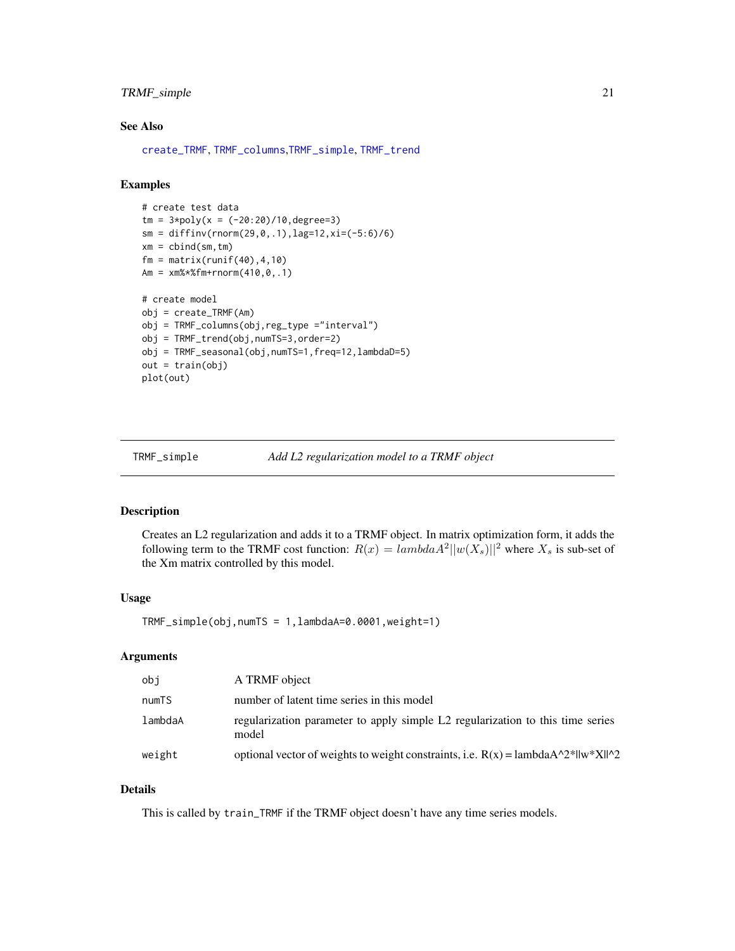## <span id="page-20-0"></span>TRMF\_simple 21

## See Also

[create\\_TRMF](#page-3-1), [TRMF\\_columns](#page-14-1),[TRMF\\_simple](#page-20-1), [TRMF\\_trend](#page-21-1)

## Examples

```
# create test data
tm = 3 * poly(x = (-20:20)/10, \text{degree}=3)sm = diffinv(rnorm(29,0,.1),lag=12,xi=(-5:6)/6)
xm = \text{cbind}(\text{sm}, \text{tm})fm = matrix(runit(40), 4, 10)Am = xm%*%fm+rnorm(410,0,.1)
# create model
obj = create_TRMF(Am)
obj = TRMF_columns(obj,reg_type ="interval")
obj = TRMF_trend(obj,numTS=3,order=2)
obj = TRMF_seasonal(obj,numTS=1,freq=12,lambdaD=5)
out = train(obj)
plot(out)
```
<span id="page-20-1"></span>

TRMF\_simple *Add L2 regularization model to a TRMF object*

### Description

Creates an L2 regularization and adds it to a TRMF object. In matrix optimization form, it adds the following term to the TRMF cost function:  $R(x) = lambda A^2 ||w(X_s)||^2$  where  $X_s$  is sub-set of the Xm matrix controlled by this model.

#### Usage

TRMF\_simple(obj,numTS = 1,lambdaA=0.0001,weight=1)

#### Arguments

| obi     | A TRMF object                                                                                   |
|---------|-------------------------------------------------------------------------------------------------|
| numTS   | number of latent time series in this model                                                      |
| lambdaA | regularization parameter to apply simple L2 regularization to this time series<br>model         |
| weight  | optional vector of weights to weight constraints, i.e. $R(x) =$ lambda $A^2$ llw*X   $\alpha$ 2 |

## Details

This is called by train\_TRMF if the TRMF object doesn't have any time series models.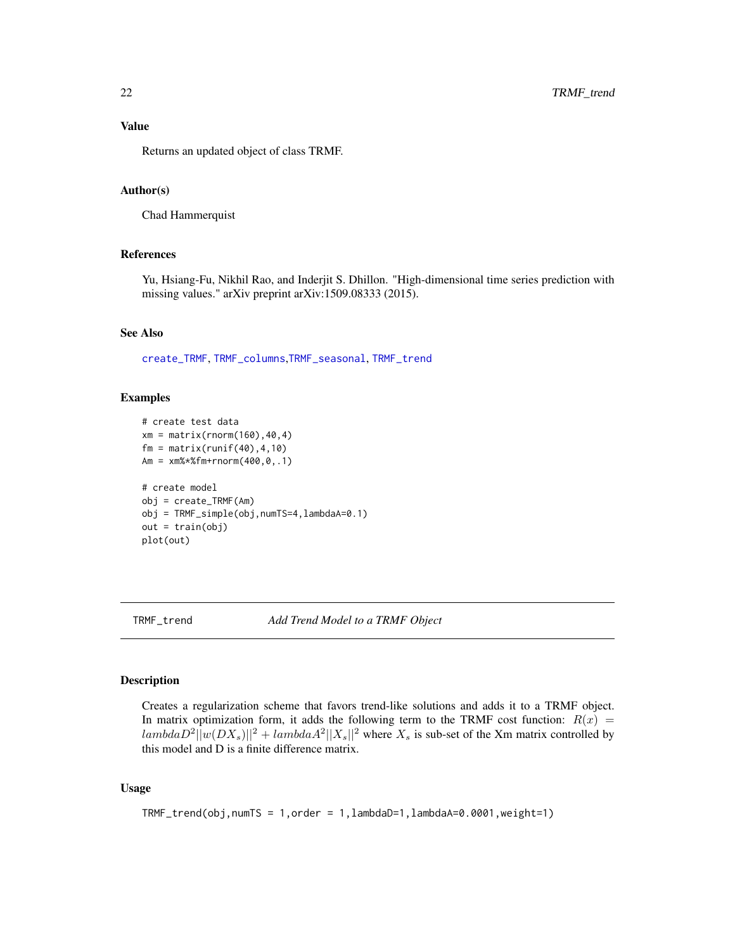<span id="page-21-0"></span>Returns an updated object of class TRMF.

## Author(s)

Chad Hammerquist

#### References

Yu, Hsiang-Fu, Nikhil Rao, and Inderjit S. Dhillon. "High-dimensional time series prediction with missing values." arXiv preprint arXiv:1509.08333 (2015).

#### See Also

[create\\_TRMF](#page-3-1), [TRMF\\_columns](#page-14-1),[TRMF\\_seasonal](#page-19-1), [TRMF\\_trend](#page-21-1)

#### Examples

```
# create test data
xm = matrix(rnorm(160), 40, 4)fm = matrix(runit(40), 4, 10)Am = xm%*%fm+rnorm(400,0,.1)
# create model
obj = create_TRMF(Am)
obj = TRMF_simple(obj,numTS=4,lambdaA=0.1)
out = train(obj)
plot(out)
```
<span id="page-21-1"></span>

TRMF\_trend *Add Trend Model to a TRMF Object*

## Description

Creates a regularization scheme that favors trend-like solutions and adds it to a TRMF object. In matrix optimization form, it adds the following term to the TRMF cost function:  $R(x)$  =  $lambdaD^2||w(DX_s)||^2 + lambdaA^2||X_s||^2$  where  $X_s$  is sub-set of the Xm matrix controlled by this model and D is a finite difference matrix.

#### Usage

```
TRMF_trend(obj,numTS = 1,order = 1,lambdaD=1,lambdaA=0.0001,weight=1)
```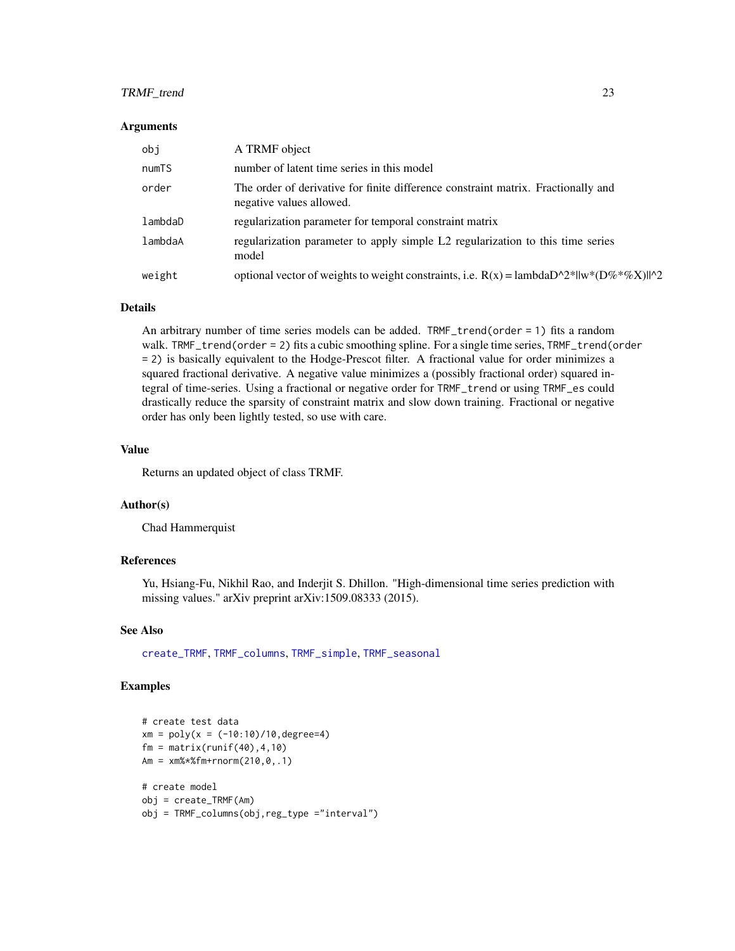## <span id="page-22-0"></span>TRMF\_trend 23

#### Arguments

| obi     | A TRMF object                                                                                                 |
|---------|---------------------------------------------------------------------------------------------------------------|
| numTS   | number of latent time series in this model                                                                    |
| order   | The order of derivative for finite difference constraint matrix. Fractionally and<br>negative values allowed. |
| lambdaD | regularization parameter for temporal constraint matrix                                                       |
| lambdaA | regularization parameter to apply simple L2 regularization to this time series<br>model                       |
| weight  | optional vector of weights to weight constraints, i.e. $R(x) =$ lambda $D^2^*  w^*(D\%^*\%X)  ^22$            |

#### Details

An arbitrary number of time series models can be added. TRMF\_trend(order = 1) fits a random walk. TRMF\_trend(order = 2) fits a cubic smoothing spline. For a single time series, TRMF\_trend(order = 2) is basically equivalent to the Hodge-Prescot filter. A fractional value for order minimizes a squared fractional derivative. A negative value minimizes a (possibly fractional order) squared integral of time-series. Using a fractional or negative order for TRMF\_trend or using TRMF\_es could drastically reduce the sparsity of constraint matrix and slow down training. Fractional or negative order has only been lightly tested, so use with care.

#### Value

Returns an updated object of class TRMF.

#### Author(s)

Chad Hammerquist

#### References

Yu, Hsiang-Fu, Nikhil Rao, and Inderjit S. Dhillon. "High-dimensional time series prediction with missing values." arXiv preprint arXiv:1509.08333 (2015).

## See Also

[create\\_TRMF](#page-3-1), [TRMF\\_columns](#page-14-1), [TRMF\\_simple](#page-20-1), [TRMF\\_seasonal](#page-19-1)

#### Examples

```
# create test data
xm = poly(x = (-10:10)/10, \text{degree=4})fm = matrix(runif(40), 4, 10)Am = xm%*%fm+rnorm(210,0,.1)
# create model
obj = create_TRMF(Am)
obj = TRMF_columns(obj,reg_type ="interval")
```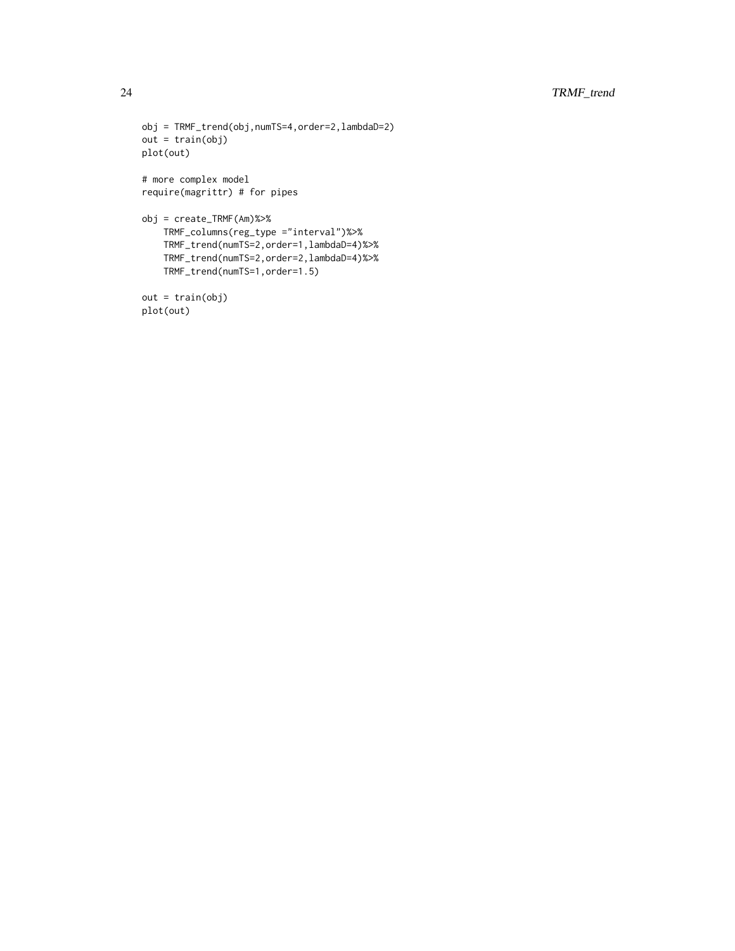```
obj = TRMF_trend(obj,numTS=4,order=2,lambdaD=2)
out = train(obj)
plot(out)
# more complex model
require(magrittr) # for pipes
obj = create_TRMF(Am)%>%
   TRMF_columns(reg_type ="interval")%>%
    TRMF_trend(numTS=2,order=1,lambdaD=4)%>%
    TRMF_trend(numTS=2,order=2,lambdaD=4)%>%
    TRMF_trend(numTS=1,order=1.5)
```

```
out = train(obj)
plot(out)
```